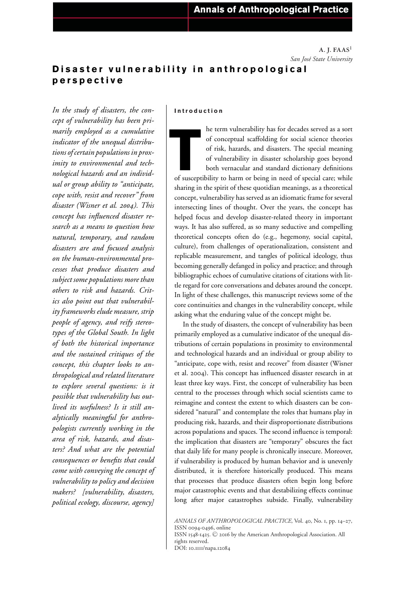**A. J. FAAS1** *San Jos´e State University*

# **Disaster vulnerability in anthropological perspective**

*In the study of disasters, the concept of vulnerability has been primarily employed as a cumulative indicator of the unequal distributions of certain populations in proximity to environmental and technological hazards and an individual or group ability to "anticipate, cope with, resist and recover" from disaster (Wisner et al. 2004). This concept has influenced disaster research as a means to question how natural, temporary, and random disasters are and focused analysis on the human-environmental processes that produce disasters and subject some populations more than others to risk and hazards. Critics also point out that vulnerability frameworks elude measure, strip people of agency, and reify stereotypes of the Global South. In light of both the historical importance and the sustained critiques of the concept, this chapter looks to anthropological and related literature to explore several questions: is it possible that vulnerability has outlived its usefulness? Is it still analytically meaningful for anthropologists currently working in the area of risk, hazards, and disasters? And what are the potential consequences or benefits that could come with conveying the concept of vulnerability to policy and decision makers? [vulnerability, disasters, political ecology, discourse, agency]*

#### **Introduction**

**THE SURFER SET SURFERENT SURFERENT OF SOCIOL SCHOOLS OF TISK, hazards, and disasters. The special meaning of vulnerability in disaster scholarship goes beyond both vernacular and standard dictionary definitions of suscept** he term vulnerability has for decades served as a sort of conceptual scaffolding for social science theories of risk, hazards, and disasters. The special meaning of vulnerability in disaster scholarship goes beyond both vernacular and standard dictionary definitions sharing in the spirit of these quotidian meanings, as a theoretical concept, vulnerability has served as an idiomatic frame for several intersecting lines of thought. Over the years, the concept has helped focus and develop disaster-related theory in important ways. It has also suffered, as so many seductive and compelling theoretical concepts often do (e.g., hegemony, social capital, culture), from challenges of operationalization, consistent and replicable measurement, and tangles of political ideology, thus becoming generally defanged in policy and practice; and through bibliographic echoes of cumulative citations of citations with little regard for core conversations and debates around the concept. In light of these challenges, this manuscript reviews some of the core continuities and changes in the vulnerability concept, while asking what the enduring value of the concept might be.

In the study of disasters, the concept of vulnerability has been primarily employed as a cumulative indicator of the unequal distributions of certain populations in proximity to environmental and technological hazards and an individual or group ability to "anticipate, cope with, resist and recover" from disaster (Wisner et al. 2004). This concept has influenced disaster research in at least three key ways. First, the concept of vulnerability has been central to the processes through which social scientists came to reimagine and contest the extent to which disasters can be considered "natural" and contemplate the roles that humans play in producing risk, hazards, and their disproportionate distributions across populations and spaces. The second influence is temporal: the implication that disasters are "temporary" obscures the fact that daily life for many people is chronically insecure. Moreover, if vulnerability is produced by human behavior and is unevenly distributed, it is therefore historically produced. This means that processes that produce disasters often begin long before major catastrophic events and that destabilizing effects continue long after major catastrophes subside. Finally, vulnerability

*ANNALS OF ANTHROPOLOGICAL PRACTICE*, Vol. 40, No. 1, pp. 14–27, ISSN 0094-0496, online ISSN 1548-1425.  $\copyright$  2016 by the American Anthropological Association. All rights reserved. DOI: 10.1111/napa.12084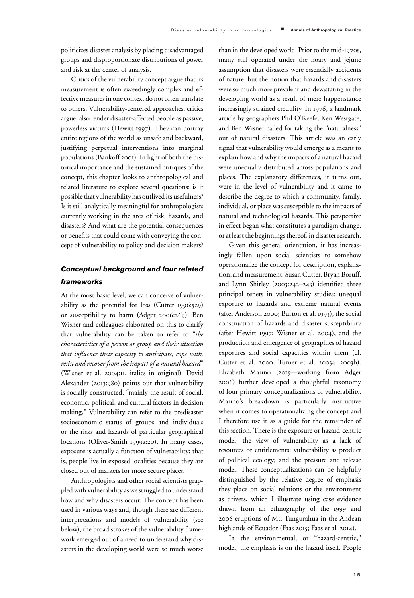politicizes disaster analysis by placing disadvantaged groups and disproportionate distributions of power and risk at the center of analysis.

Critics of the vulnerability concept argue that its measurement is often exceedingly complex and effective measures in one context do not often translate to others. Vulnerability-centered approaches, critics argue, also render disaster-affected people as passive, powerless victims (Hewitt 1997). They can portray entire regions of the world as unsafe and backward, justifying perpetual interventions into marginal populations (Bankoff 2001). In light of both the historical importance and the sustained critiques of the concept, this chapter looks to anthropological and related literature to explore several questions: is it possible that vulnerability has outlived its usefulness? Is it still analytically meaningful for anthropologists currently working in the area of risk, hazards, and disasters? And what are the potential consequences or benefits that could come with conveying the concept of vulnerability to policy and decision makers?

## *Conceptual background and four related frameworks*

At the most basic level, we can conceive of vulnerability as the potential for loss (Cutter 1996:529) or susceptibility to harm (Adger 2006:269). Ben Wisner and colleagues elaborated on this to clarify that vulnerability can be taken to refer to "*the characteristics of a person or group and their situation that influence their capacity to anticipate, cope with, resist and recover from the impact of a natural hazard*" (Wisner et al. 2004:11, italics in original). David Alexander (2013:980) points out that vulnerability is socially constructed, "mainly the result of social, economic, political, and cultural factors in decision making." Vulnerability can refer to the predisaster socioeconomic status of groups and individuals or the risks and hazards of particular geographical locations (Oliver-Smith 1999a:20). In many cases, exposure is actually a function of vulnerability; that is, people live in exposed localities because they are closed out of markets for more secure places.

Anthropologists and other social scientists grappled with vulnerability as we struggled to understand how and why disasters occur. The concept has been used in various ways and, though there are different interpretations and models of vulnerability (see below), the broad strokes of the vulnerability framework emerged out of a need to understand why disasters in the developing world were so much worse than in the developed world. Prior to the mid-1970s, many still operated under the hoary and jejune assumption that disasters were essentially accidents of nature, but the notion that hazards and disasters were so much more prevalent and devastating in the developing world as a result of mere happenstance increasingly strained credulity. In 1976, a landmark article by geographers Phil O'Keefe, Ken Westgate, and Ben Wisner called for taking the "naturalness" out of natural disasters. This article was an early signal that vulnerability would emerge as a means to explain how and why the impacts of a natural hazard were unequally distributed across populations and places. The explanatory differences, it turns out, were in the level of vulnerability and it came to describe the degree to which a community, family, individual, or place was susceptible to the impacts of natural and technological hazards. This perspective in effect began what constitutes a paradigm change, or at least the beginnings thereof, in disaster research.

Given this general orientation, it has increasingly fallen upon social scientists to somehow operationalize the concept for description, explanation, and measurement. Susan Cutter, Bryan Boruff, and Lynn Shirley (2003:242–243) identified three principal tenets in vulnerability studies: unequal exposure to hazards and extreme natural events (after Anderson 2000; Burton et al. 1993), the social construction of hazards and disaster susceptibility (after Hewitt 1997; Wisner et al. 2004), and the production and emergence of geographies of hazard exposures and social capacities within them (cf. Cutter et al. 2000; Turner et al. 2003a, 2003b). Elizabeth Marino (2015—working from Adger 2006) further developed a thoughtful taxonomy of four primary conceptualizations of vulnerability. Marino's breakdown is particularly instructive when it comes to operationalizing the concept and I therefore use it as a guide for the remainder of this section. There is the exposure or hazard-centric model; the view of vulnerability as a lack of resources or entitlements; vulnerability as product of political ecology; and the pressure and release model. These conceptualizations can be helpfully distinguished by the relative degree of emphasis they place on social relations or the environment as drivers, which I illustrate using case evidence drawn from an ethnography of the 1999 and 2006 eruptions of Mt. Tungurahua in the Andean highlands of Ecuador (Faas 2015; Faas et al. 2014).

In the environmental, or "hazard-centric," model, the emphasis is on the hazard itself. People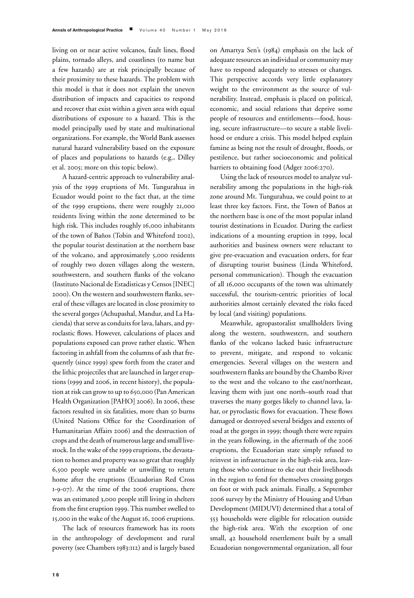living on or near active volcanos, fault lines, flood plains, tornado alleys, and coastlines (to name but a few hazards) are at risk principally because of their proximity to these hazards. The problem with this model is that it does not explain the uneven distribution of impacts and capacities to respond and recover that exist within a given area with equal distributions of exposure to a hazard. This is the model principally used by state and multinational organizations. For example, the World Bank assesses natural hazard vulnerability based on the exposure of places and populations to hazards (e.g., Dilley et al. 2005; more on this topic below).

A hazard-centric approach to vulnerability analysis of the 1999 eruptions of Mt. Tungurahua in Ecuador would point to the fact that, at the time of the 1999 eruptions, there were roughly 21,000 residents living within the zone determined to be high risk. This includes roughly 16,000 inhabitants of the town of Baños (Tobin and Whiteford 2002), the popular tourist destination at the northern base of the volcano, and approximately 5,000 residents of roughly two dozen villages along the western, southwestern, and southern flanks of the volcano (Instituto Nacional de Estadisticas y Censos [INEC] 2000). On the western and southwestern flanks, several of these villages are located in close proximity to the several gorges (Achupashal, Mandur, and La Hacienda) that serve as conduits for lava, lahars, and pyroclastic flows. However, calculations of places and populations exposed can prove rather elastic. When factoring in ashfall from the columns of ash that frequently (since 1999) spew forth from the crater and the lithic projectiles that are launched in larger eruptions (1999 and 2006, in recent history), the population at risk can grow to up to 650,000 (Pan American Health Organization [PAHO] 2006). In 2006, these factors resulted in six fatalities, more than 50 burns (United Nations Office for the Coordination of Humanitarian Affairs 2006) and the destruction of crops and the death of numerous large and small livestock. In the wake of the 1999 eruptions, the devastation to homes and property was so great that roughly 6,500 people were unable or unwilling to return home after the eruptions (Ecuadorian Red Cross 1-9-07). At the time of the 2006 eruptions, there was an estimated 3,000 people still living in shelters from the first eruption 1999. This number swelled to 15,000 in the wake of the August 16, 2006 eruptions.

The lack of resources framework has its roots in the anthropology of development and rural poverty (see Chambers 1983:112) and is largely based

on Amartya Sen's (1984) emphasis on the lack of adequate resources an individual or community may have to respond adequately to stresses or changes. This perspective accords very little explanatory weight to the environment as the source of vulnerability. Instead, emphasis is placed on political, economic, and social relations that deprive some people of resources and entitlements—food, housing, secure infrastructure—to secure a stable livelihood or endure a crisis. This model helped explain famine as being not the result of drought, floods, or pestilence, but rather socioeconomic and political barriers to obtaining food (Adger 2006:270).

Using the lack of resources model to analyze vulnerability among the populations in the high-risk zone around Mt. Tungurahua, we could point to at least three key factors. First, the Town of Baños at the northern base is one of the most popular inland tourist destinations in Ecuador. During the earliest indications of a mounting eruption in 1999, local authorities and business owners were reluctant to give pre-evacuation and evacuation orders, for fear of disrupting tourist business (Linda Whiteford, personal communication). Though the evacuation of all 16,000 occupants of the town was ultimately successful, the tourism-centric priorities of local authorities almost certainly elevated the risks faced by local (and visiting) populations.

Meanwhile, agropastoralist smallholders living along the western, southwestern, and southern flanks of the volcano lacked basic infrastructure to prevent, mitigate, and respond to volcanic emergencies. Several villages on the western and southwestern flanks are bound by the Chambo River to the west and the volcano to the east/northeast, leaving them with just one north–south road that traverses the many gorges likely to channel lava, lahar, or pyroclastic flows for evacuation. These flows damaged or destroyed several bridges and extents of road at the gorges in 1999; though there were repairs in the years following, in the aftermath of the 2006 eruptions, the Ecuadorian state simply refused to reinvest in infrastructure in the high-risk area, leaving those who continue to eke out their livelihoods in the region to fend for themselves crossing gorges on foot or with pack animals. Finally, a September 2006 survey by the Ministry of Housing and Urban Development (MIDUVI) determined that a total of 553 households were eligible for relocation outside the high-risk area. With the exception of one small, 42 household resettlement built by a small Ecuadorian nongovernmental organization, all four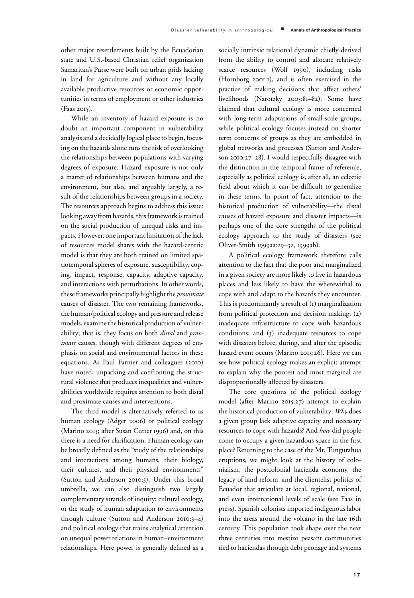other major resettlements built by the Ecuadorian state and U.S.-based Christian relief organization Samaritan's Purse were built on urban grids lacking in land for agriculture and without any locally available productive resources or economic opportunities in terms of employment or other industries (Faas 2015).

While an inventory of hazard exposure is no doubt an important component in vulnerability analysis and a decidedly logical place to begin, focusing on the hazards alone runs the risk of overlooking the relationships between populations with varying degrees of exposure. Hazard exposure is not only a matter of relationships between humans and the environment, but also, and arguably largely, a result of the relationships between groups in a society. The resources approach begins to address this issue: looking away from hazards, this framework is trained on the social production of unequal risks and impacts. However, one important limitation of the lack of resources model shares with the hazard-centric model is that they are both trained on limited spatiotemporal spheres of exposure, susceptibility, coping, impact, response, capacity, adaptive capacity, and interactions with perturbations. In other words, these frameworks principally highlight the *proximate* causes of disaster. The two remaining frameworks, the human/political ecology and pressure and release models, examine the historical production of vulnerability; that is, they focus on both *distal* and *proximate* causes, though with different degrees of emphasis on social and environmental factors in these equations. As Paul Farmer and colleagues (2010) have noted, unpacking and confronting the structural violence that produces inequalities and vulnerabilities worldwide requires attention to both distal and proximate causes and interventions.

The third model is alternatively referred to as human ecology (Adger 2006) or political ecology (Marino 2015; after Susan Cutter 1996) and, on this there is a need for clarification. Human ecology can be broadly defined as the "study of the relationships and interactions among humans, their biology, their cultures, and their physical environments" (Sutton and Anderson 2010:3). Under this broad umbrella, we can also distinguish two largely complementary strands of inquiry: cultural ecology, or the study of human adaptation to environments through culture (Sutton and Anderson 2010:3–4) and political ecology that trains analytical attention on unequal power relations in human–environment relationships. Here power is generally defined as a

socially intrinsic relational dynamic chiefly derived from the ability to control and allocate relatively scarce resources (Wolf 1990), including risks (Hornborg 2001:1), and is often exercised in the practice of making decisions that affect others' livelihoods (Narotzky 2005:81–82). Some have claimed that cultural ecology is more concerned with long-term adaptations of small-scale groups, while political ecology focuses instead on shorter term concerns of groups as they are embedded in global networks and processes (Sutton and Anderson 2010:27–28). I would respectfully disagree with the distinction in the temporal frame of reference, especially as political ecology is, after all, an eclectic field about which it can be difficult to generalize in these terms. In point of fact, attention to the historical production of vulnerability—the distal causes of hazard exposure and disaster impacts—is perhaps one of the core strengths of the political ecology approach to the study of disasters (see Oliver-Smith 1999aa:29–32, 1999ab).

A political ecology framework therefore calls attention to the fact that the poor and marginalized in a given society are more likely to live in hazardous places and less likely to have the wherewithal to cope with and adapt to the hazards they encounter. This is predominantly a result of  $(i)$  marginalization from political protection and decision making; (2) inadequate infrastructure to cope with hazardous conditions; and (3) inadequate resources to cope with disasters before, during, and after the episodic hazard event occurs (Marino 2015:26). Here we can see how political ecology makes an explicit attempt to explain why the poorest and most marginal are disproportionally affected by disasters.

The core questions of the political ecology model (after Marino 2015:27) attempt to explain the historical production of vulnerability: *Why* does a given group lack adaptive capacity and necessary resources to cope with hazards? And *how* did people come to occupy a given hazardous space in the first place? Returning to the case of the Mt. Tungurahua eruptions, we might look at the history of colonialism, the postcolonial hacienda economy, the legacy of land reform, and the clientelist politics of Ecuador that articulate at local, regional, national, and even international levels of scale (see Faas in press). Spanish colonists imported indigenous labor into the areas around the volcano in the late 16th century. This population took shape over the next three centuries into mestizo peasant communities tied to haciendas through debt peonage and systems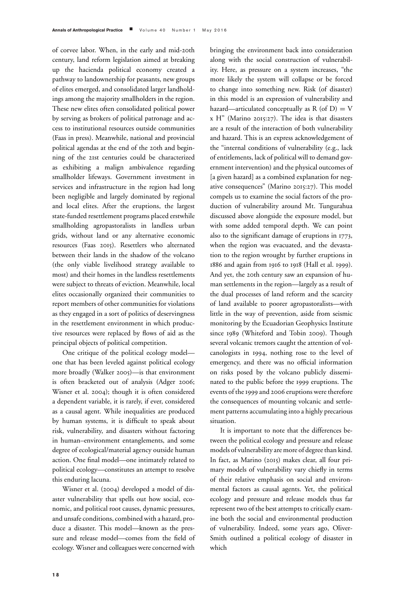of corvee labor. When, in the early and mid-20th century, land reform legislation aimed at breaking up the hacienda political economy created a pathway to landownership for peasants, new groups of elites emerged, and consolidated larger landholdings among the majority smallholders in the region. These new elites often consolidated political power by serving as brokers of political patronage and access to institutional resources outside communities (Faas in press). Meanwhile, national and provincial political agendas at the end of the 20th and beginning of the 21st centuries could be characterized as exhibiting a malign ambivalence regarding smallholder lifeways. Government investment in services and infrastructure in the region had long been negligible and largely dominated by regional and local elites. After the eruptions, the largest state-funded resettlement programs placed erstwhile smallholding agropastoralists in landless urban grids, without land or any alternative economic resources (Faas 2015). Resettlers who alternated between their lands in the shadow of the volcano (the only viable livelihood strategy available to most) and their homes in the landless resettlements were subject to threats of eviction. Meanwhile, local elites occasionally organized their communities to report members of other communities for violations as they engaged in a sort of politics of deservingness in the resettlement environment in which productive resources were replaced by flows of aid as the principal objects of political competition.

One critique of the political ecology model one that has been leveled against political ecology more broadly (Walker 2005)—is that environment is often bracketed out of analysis (Adger 2006; Wisner et al. 2004); though it is often considered a dependent variable, it is rarely, if ever, considered as a causal agent. While inequalities are produced by human systems, it is difficult to speak about risk, vulnerability, and disasters without factoring in human–environment entanglements, and some degree of ecological/material agency outside human action. One final model—one intimately related to political ecology—constitutes an attempt to resolve this enduring lacuna.

Wisner et al. (2004) developed a model of disaster vulnerability that spells out how social, economic, and political root causes, dynamic pressures, and unsafe conditions, combined with a hazard, produce a disaster. This model—known as the pressure and release model—comes from the field of ecology. Wisner and colleagues were concerned with

bringing the environment back into consideration along with the social construction of vulnerability. Here, as pressure on a system increases, "the more likely the system will collapse or be forced to change into something new. Risk (of disaster) in this model is an expression of vulnerability and hazard—articulated conceptually as  $R$  (of  $D$ ) = V x H" (Marino 2015:27). The idea is that disasters are a result of the interaction of both vulnerability and hazard. This is an express acknowledgement of the "internal conditions of vulnerability (e.g., lack of entitlements, lack of political will to demand government intervention) and the physical outcomes of [a given hazard] as a combined explanation for negative consequences" (Marino 2015:27). This model compels us to examine the social factors of the production of vulnerability around Mt. Tungurahua discussed above alongside the exposure model, but with some added temporal depth. We can point also to the significant damage of eruptions in 1773, when the region was evacuated, and the devastation to the region wrought by further eruptions in 1886 and again from 1916 to 1918 (Hall et al. 1999). And yet, the 20th century saw an expansion of human settlements in the region—largely as a result of the dual processes of land reform and the scarcity of land available to poorer agropastoralists—with little in the way of prevention, aside from seismic monitoring by the Ecuadorian Geophysics Institute since 1989 (Whiteford and Tobin 2009). Though several volcanic tremors caught the attention of volcanologists in 1994, nothing rose to the level of emergency, and there was no official information on risks posed by the volcano publicly disseminated to the public before the 1999 eruptions. The events of the 1999 and 2006 eruptions were therefore the consequences of mounting volcanic and settlement patterns accumulating into a highly precarious situation.

It is important to note that the differences between the political ecology and pressure and release models of vulnerability are more of degree than kind. In fact, as Marino (2015) makes clear, all four primary models of vulnerability vary chiefly in terms of their relative emphasis on social and environmental factors as causal agents. Yet, the political ecology and pressure and release models thus far represent two of the best attempts to critically examine both the social and environmental production of vulnerability. Indeed, some years ago, Oliver-Smith outlined a political ecology of disaster in which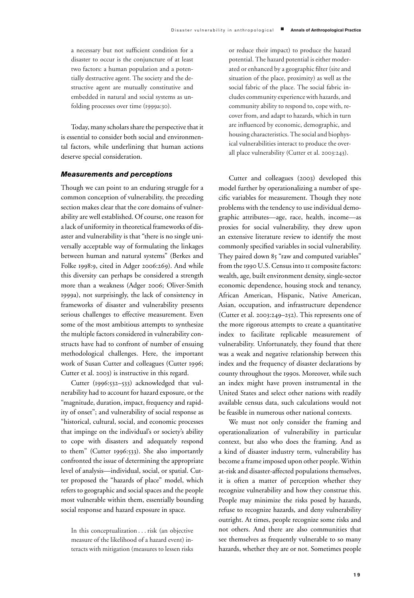a necessary but not sufficient condition for a disaster to occur is the conjuncture of at least two factors: a human population and a potentially destructive agent. The society and the destructive agent are mutually constitutive and embedded in natural and social systems as unfolding processes over time (1999a:30).

Today, many scholars share the perspective that it is essential to consider both social and environmental factors, while underlining that human actions deserve special consideration.

### *Measurements and perceptions*

Though we can point to an enduring struggle for a common conception of vulnerability, the preceding section makes clear that the core domains of vulnerability are well established. Of course, one reason for a lack of uniformity in theoretical frameworks of disaster and vulnerability is that "there is no single universally acceptable way of formulating the linkages between human and natural systems" (Berkes and Folke 1998:9, cited in Adger 2006:269). And while this diversity can perhaps be considered a strength more than a weakness (Adger 2006; Oliver-Smith 1999a), not surprisingly, the lack of consistency in frameworks of disaster and vulnerability presents serious challenges to effective measurement. Even some of the most ambitious attempts to synthesize the multiple factors considered in vulnerability constructs have had to confront of number of ensuing methodological challenges. Here, the important work of Susan Cutter and colleagues (Cutter 1996; Cutter et al. 2003) is instructive in this regard.

Cutter (1996:532–533) acknowledged that vulnerability had to account for hazard exposure, or the "magnitude, duration, impact, frequency and rapidity of onset"; and vulnerability of social response as "historical, cultural, social, and economic processes that impinge on the individual's or society's ability to cope with disasters and adequately respond to them" (Cutter 1996:533). She also importantly confronted the issue of determining the appropriate level of analysis—individual, social, or spatial. Cutter proposed the "hazards of place" model, which refers to geographic and social spaces and the people most vulnerable within them, essentially bounding social response and hazard exposure in space.

In this conceptualization . . . risk (an objective measure of the likelihood of a hazard event) interacts with mitigation (measures to lessen risks

or reduce their impact) to produce the hazard potential. The hazard potential is either moderated or enhanced by a geographic filter (site and situation of the place, proximity) as well as the social fabric of the place. The social fabric includes community experience with hazards, and community ability to respond to, cope with, recover from, and adapt to hazards, which in turn are influenced by economic, demographic, and housing characteristics. The social and biophysical vulnerabilities interact to produce the overall place vulnerability (Cutter et al. 2003:243).

Cutter and colleagues (2003) developed this model further by operationalizing a number of specific variables for measurement. Though they note problems with the tendency to use individual demographic attributes—age, race, health, income—as proxies for social vulnerability, they drew upon an extensive literature review to identify the most commonly specified variables in social vulnerability. They paired down 85 "raw and computed variables" from the 1990 U.S. Census into 11 composite factors: wealth, age, built environment density, single-sector economic dependence, housing stock and tenancy, African American, Hispanic, Native American, Asian, occupation, and infrastructure dependence (Cutter et al. 2003:249–252). This represents one of the more rigorous attempts to create a quantitative index to facilitate replicable measurement of vulnerability. Unfortunately, they found that there was a weak and negative relationship between this index and the frequency of disaster declarations by county throughout the 1990s. Moreover, while such an index might have proven instrumental in the United States and select other nations with readily available census data, such calculations would not be feasible in numerous other national contexts.

We must not only consider the framing and operationalization of vulnerability in particular context, but also who does the framing. And as a kind of disaster industry term, vulnerability has become a frame imposed upon other people. Within at-risk and disaster-affected populations themselves, it is often a matter of perception whether they recognize vulnerability and how they construe this. People may minimize the risks posed by hazards, refuse to recognize hazards, and deny vulnerability outright. At times, people recognize some risks and not others. And there are also communities that see themselves as frequently vulnerable to so many hazards, whether they are or not. Sometimes people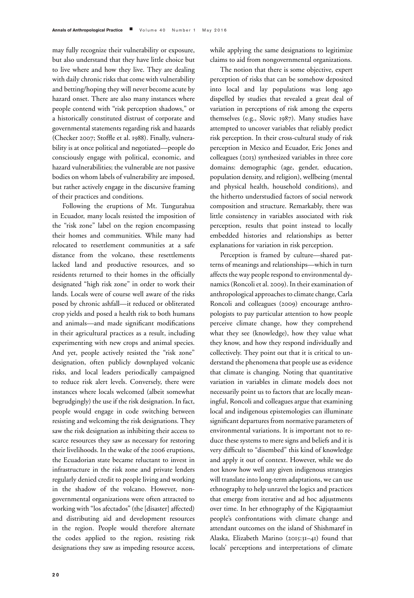may fully recognize their vulnerability or exposure, but also understand that they have little choice but to live where and how they live. They are dealing with daily chronic risks that come with vulnerability and betting/hoping they will never become acute by hazard onset. There are also many instances where people contend with "risk perception shadows," or a historically constituted distrust of corporate and governmental statements regarding risk and hazards (Checker 2007; Stoffle et al. 1988). Finally, vulnerability is at once political and negotiated—people do consciously engage with political, economic, and hazard vulnerabilities; the vulnerable are not passive bodies on whom labels of vulnerability are imposed, but rather actively engage in the discursive framing of their practices and conditions.

Following the eruptions of Mt. Tungurahua in Ecuador, many locals resisted the imposition of the "risk zone" label on the region encompassing their homes and communities. While many had relocated to resettlement communities at a safe distance from the volcano, these resettlements lacked land and productive resources, and so residents returned to their homes in the officially designated "high risk zone" in order to work their lands. Locals were of course well aware of the risks posed by chronic ashfall—it reduced or obliterated crop yields and posed a health risk to both humans and animals—and made significant modifications in their agricultural practices as a result, including experimenting with new crops and animal species. And yet, people actively resisted the "risk zone" designation, often publicly downplayed volcanic risks, and local leaders periodically campaigned to reduce risk alert levels. Conversely, there were instances where locals welcomed (albeit somewhat begrudgingly) the use if the risk designation. In fact, people would engage in code switching between resisting and welcoming the risk designations. They saw the risk designation as inhibiting their access to scarce resources they saw as necessary for restoring their livelihoods. In the wake of the 2006 eruptions, the Ecuadorian state became reluctant to invest in infrastructure in the risk zone and private lenders regularly denied credit to people living and working in the shadow of the volcano. However, nongovernmental organizations were often attracted to working with "los afectados" (the [disaster] affected) and distributing aid and development resources in the region. People would therefore alternate the codes applied to the region, resisting risk designations they saw as impeding resource access,

while applying the same designations to legitimize claims to aid from nongovernmental organizations.

The notion that there is some objective, expert perception of risks that can be somehow deposited into local and lay populations was long ago dispelled by studies that revealed a great deal of variation in perceptions of risk among the experts themselves (e.g., Slovic 1987). Many studies have attempted to uncover variables that reliably predict risk perception. In their cross-cultural study of risk perception in Mexico and Ecuador, Eric Jones and colleagues (2013) synthesized variables in three core domains: demographic (age, gender, education, population density, and religion), wellbeing (mental and physical health, household conditions), and the hitherto understudied factors of social network composition and structure. Remarkably, there was little consistency in variables associated with risk perception, results that point instead to locally embedded histories and relationships as better explanations for variation in risk perception.

Perception is framed by culture—shared patterns of meanings and relationships—which in turn affects the way people respond to environmental dynamics (Roncoli et al. 2009). In their examination of anthropological approaches to climate change, Carla Roncoli and colleagues (2009) encourage anthropologists to pay particular attention to how people perceive climate change, how they comprehend what they see (knowledge), how they value what they know, and how they respond individually and collectively. They point out that it is critical to understand the phenomena that people use as evidence that climate is changing. Noting that quantitative variation in variables in climate models does not necessarily point us to factors that are locally meaningful, Roncoli and colleagues argue that examining local and indigenous epistemologies can illuminate significant departures from normative parameters of environmental variations. It is important not to reduce these systems to mere signs and beliefs and it is very difficult to "disembed" this kind of knowledge and apply it out of context. However, while we do not know how well any given indigenous strategies will translate into long-term adaptations, we can use ethnography to help unravel the logics and practices that emerge from iterative and ad hoc adjustments over time. In her ethnography of the Kigiqtaamiut people's confrontations with climate change and attendant outcomes on the island of Shishmaref in Alaska, Elizabeth Marino (2015:31–41) found that locals' perceptions and interpretations of climate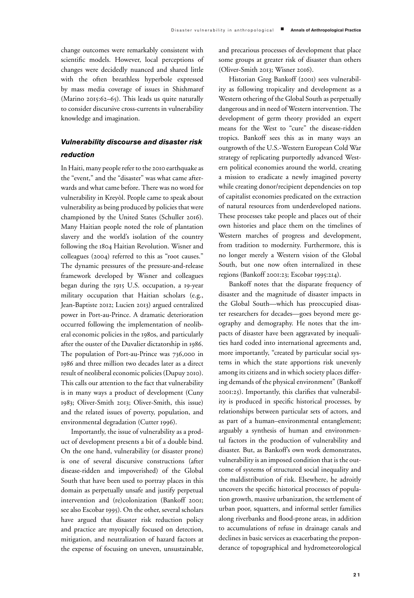change outcomes were remarkably consistent with scientific models. However, local perceptions of changes were decidedly nuanced and shared little with the often breathless hyperbole expressed by mass media coverage of issues in Shishmaref (Marino 2015:62–65). This leads us quite naturally to consider discursive cross-currents in vulnerability knowledge and imagination.

## *Vulnerability discourse and disaster risk reduction*

In Haiti, many people refer to the 2010 earthquake as the "event," and the "disaster" was what came afterwards and what came before. There was no word for vulnerability in Kreyòl. People came to speak about vulnerability as being produced by policies that were championed by the United States (Schuller 2016). Many Haitian people noted the role of plantation slavery and the world's isolation of the country following the 1804 Haitian Revolution. Wisner and colleagues (2004) referred to this as "root causes." The dynamic pressures of the pressure-and-release framework developed by Wisner and colleagues began during the 1915 U.S. occupation, a 19-year military occupation that Haitian scholars (e.g., Jean-Baptiste 2012; Lucien 2013) argued centralized power in Port-au-Prince. A dramatic deterioration occurred following the implementation of neoliberal economic policies in the 1980s, and particularly after the ouster of the Duvalier dictatorship in 1986. The population of Port-au-Prince was 736,000 in 1986 and three million two decades later as a direct result of neoliberal economic policies (Dupuy 2010). This calls our attention to the fact that vulnerability is in many ways a product of development (Cuny 1983; Oliver-Smith 2013; Oliver-Smith, this issue) and the related issues of poverty, population, and environmental degradation (Cutter 1996).

Importantly, the issue of vulnerability as a product of development presents a bit of a double bind. On the one hand, vulnerability (or disaster prone) is one of several discursive constructions (after disease-ridden and impoverished) of the Global South that have been used to portray places in this domain as perpetually unsafe and justify perpetual intervention and (re)colonization (Bankoff 2001; see also Escobar 1995). On the other, several scholars have argued that disaster risk reduction policy and practice are myopically focused on detection, mitigation, and neutralization of hazard factors at the expense of focusing on uneven, unsustainable, and precarious processes of development that place some groups at greater risk of disaster than others (Oliver-Smith 2013; Wisner 2016).

Historian Greg Bankoff (2001) sees vulnerability as following tropicality and development as a Western othering of the Global South as perpetually dangerous and in need of Western intervention. The development of germ theory provided an expert means for the West to "cure" the disease-ridden tropics. Bankoff sees this as in many ways an outgrowth of the U.S.-Western European Cold War strategy of replicating purportedly advanced Western political economies around the world, creating a mission to eradicate a newly imagined poverty while creating donor/recipient dependencies on top of capitalist economies predicated on the extraction of natural resources from underdeveloped nations. These processes take people and places out of their own histories and place them on the timelines of Western marches of progress and development, from tradition to modernity. Furthermore, this is no longer merely a Western vision of the Global South, but one now often internalized in these regions (Bankoff 2001:23; Escobar 1995:214).

Bankoff notes that the disparate frequency of disaster and the magnitude of disaster impacts in the Global South—which has preoccupied disaster researchers for decades—goes beyond mere geography and demography. He notes that the impacts of disaster have been aggravated by inequalities hard coded into international agreements and, more importantly, "created by particular social systems in which the state apportions risk unevenly among its citizens and in which society places differing demands of the physical environment" (Bankoff 2001:25). Importantly, this clarifies that vulnerability is produced in specific historical processes, by relationships between particular sets of actors, and as part of a human–environmental entanglement; arguably a synthesis of human and environmental factors in the production of vulnerability and disaster. But, as Bankoff's own work demonstrates, vulnerability is an imposed condition that is the outcome of systems of structured social inequality and the maldistribution of risk. Elsewhere, he adroitly uncovers the specific historical processes of population growth, massive urbanization, the settlement of urban poor, squatters, and informal settler families along riverbanks and flood-prone areas, in addition to accumulations of refuse in drainage canals and declines in basic services as exacerbating the preponderance of topographical and hydrometeorological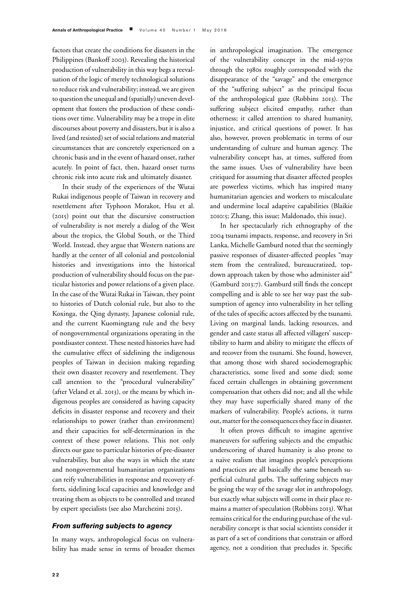factors that create the conditions for disasters in the Philippines (Bankoff 2003). Revealing the historical production of vulnerability in this way begs a reevaluation of the logic of merely technological solutions to reduce risk and vulnerability; instead, we are given to question the unequal and (spatially) uneven development that fosters the production of these conditions over time. Vulnerability may be a trope in elite discourses about poverty and disasters, but it is also a lived (and resisted) set of social relations and material circumstances that are concretely experienced on a chronic basis and in the event of hazard onset, rather acutely. In point of fact, then, hazard onset turns chronic risk into acute risk and ultimately disaster.

In their study of the experiences of the Wutai Rukai indigenous people of Taiwan in recovery and resettlement after Typhoon Morakot, Hsu et al. (2015) point out that the discursive construction of vulnerability is not merely a dialog of the West about the tropics, the Global South, or the Third World. Instead, they argue that Western nations are hardly at the center of all colonial and postcolonial histories and investigations into the historical production of vulnerability should focus on the particular histories and power relations of a given place. In the case of the Wutai Rukai in Taiwan, they point to histories of Dutch colonial rule, but also to the Koxinga, the Qing dynasty, Japanese colonial rule, and the current Kuomingtang rule and the bevy of nongovernmental organizations operating in the postdisaster context. These nested histories have had the cumulative effect of sidelining the indigenous peoples of Taiwan in decision making regarding their own disaster recovery and resettlement. They call attention to the "procedural vulnerability" (after Veland et al. 2013), or the means by which indigenous peoples are considered as having capacity deficits in disaster response and recovery and their relationships to power (rather than environment) and their capacities for self-determination in the context of these power relations. This not only directs our gaze to particular histories of pre-disaster vulnerability, but also the ways in which the state and nongovernmental humanitarian organizations can reify vulnerabilities in response and recovery efforts, sidelining local capacities and knowledge and treating them as objects to be controlled and treated by expert specialists (see also Marchezini 2015).

#### *From suffering subjects to agency*

In many ways, anthropological focus on vulnerability has made sense in terms of broader themes in anthropological imagination. The emergence of the vulnerability concept in the mid-1970s through the 1980s roughly corresponded with the disappearance of the "savage" and the emergence of the "suffering subject" as the principal focus of the anthropological gaze (Robbins 2013). The suffering subject elicited empathy, rather than otherness; it called attention to shared humanity, injustice, and critical questions of power. It has also, however, proven problematic in terms of our understanding of culture and human agency. The vulnerability concept has, at times, suffered from the same issues. Uses of vulnerability have been critiqued for assuming that disaster affected peoples are powerless victims, which has inspired many humanitarian agencies and workers to miscalculate and undermine local adaptive capabilities (Blaikie 2010:5; Zhang, this issue; Maldonado, this issue).

In her spectacularly rich ethnography of the 2004 tsunami impacts, response, and recovery in Sri Lanka, Michelle Gamburd noted that the seemingly passive responses of disaster-affected peoples "may stem from the centralized, bureaucratized, topdown approach taken by those who administer aid" (Gamburd 2013:7). Gamburd still finds the concept compelling and is able to see her way past the subsumption of agency into vulnerability in her telling of the tales of specific actors affected by the tsunami. Living on marginal lands, lacking resources, and gender and caste status all affected villagers' susceptibility to harm and ability to mitigate the effects of and recover from the tsunami. She found, however, that among those with shared sociodemographic characteristics, some lived and some died; some faced certain challenges in obtaining government compensation that others did not; and all the while they may have superficially shared many of the markers of vulnerability. People's actions, it turns out, matter for the consequences they face in disaster.

It often proves difficult to imagine agentive maneuvers for suffering subjects and the empathic underscoring of shared humanity is also prone to a naïve realism that imagines people's perceptions and practices are all basically the same beneath superficial cultural garbs. The suffering subjects may be going the way of the savage slot in anthropology, but exactly what subjects will come in their place remains a matter of speculation (Robbins 2013). What remains critical for the enduring purchase of the vulnerability concept is that social scientists consider it as part of a set of conditions that constrain or afford agency, not a condition that precludes it. Specific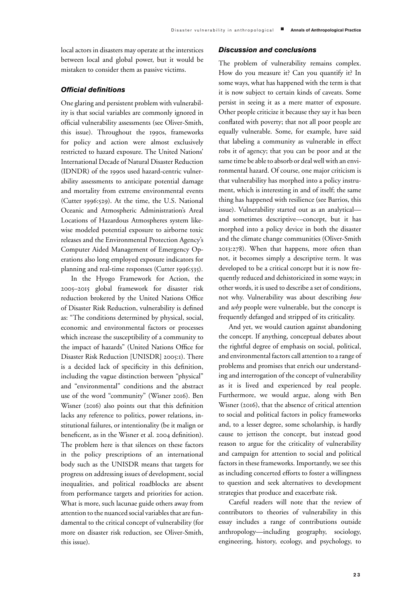local actors in disasters may operate at the interstices between local and global power, but it would be mistaken to consider them as passive victims.

#### *Official definitions*

One glaring and persistent problem with vulnerability is that social variables are commonly ignored in official vulnerability assessments (see Oliver-Smith, this issue). Throughout the 1990s, frameworks for policy and action were almost exclusively restricted to hazard exposure. The United Nations' International Decade of Natural Disaster Reduction (IDNDR) of the 1990s used hazard-centric vulnerability assessments to anticipate potential damage and mortality from extreme environmental events (Cutter 1996:529). At the time, the U.S. National Oceanic and Atmospheric Administration's Areal Locations of Hazardous Atmospheres system likewise modeled potential exposure to airborne toxic releases and the Environmental Protection Agency's Computer Aided Management of Emergency Operations also long employed exposure indicators for planning and real-time responses (Cutter 1996:535).

In the Hyogo Framework for Action, the 2005–2015 global framework for disaster risk reduction brokered by the United Nations Office of Disaster Risk Reduction, vulnerability is defined as: "The conditions determined by physical, social, economic and environmental factors or processes which increase the susceptibility of a community to the impact of hazards" (United Nations Office for Disaster Risk Reduction [UNISDR] 2005:1). There is a decided lack of specificity in this definition, including the vague distinction between "physical" and "environmental" conditions and the abstract use of the word "community" (Wisner 2016). Ben Wisner (2016) also points out that this definition lacks any reference to politics, power relations, institutional failures, or intentionality (be it malign or beneficent, as in the Wisner et al. 2004 definition). The problem here is that silences on these factors in the policy prescriptions of an international body such as the UNISDR means that targets for progress on addressing issues of development, social inequalities, and political roadblocks are absent from performance targets and priorities for action. What is more, such lacunae guide others away from attention to the nuanced social variables that are fundamental to the critical concept of vulnerability (for more on disaster risk reduction, see Oliver-Smith, this issue).

#### *Discussion and conclusions*

The problem of vulnerability remains complex. How do you measure it? Can you quantify it? In some ways, what has happened with the term is that it is now subject to certain kinds of caveats. Some persist in seeing it as a mere matter of exposure. Other people criticize it because they say it has been conflated with poverty; that not all poor people are equally vulnerable. Some, for example, have said that labeling a community as vulnerable in effect robs it of agency; that you can be poor and at the same time be able to absorb or deal well with an environmental hazard. Of course, one major criticism is that vulnerability has morphed into a policy instrument, which is interesting in and of itself; the same thing has happened with resilience (see Barrios, this issue). Vulnerability started out as an analytical and sometimes descriptive—concept, but it has morphed into a policy device in both the disaster and the climate change communities (Oliver-Smith 2013:278). When that happens, more often than not, it becomes simply a descriptive term. It was developed to be a critical concept but it is now frequently reduced and dehistoricized in some ways; in other words, it is used to describe a set of conditions, not why. Vulnerability was about describing *how* and *why* people were vulnerable, but the concept is frequently defanged and stripped of its criticality.

And yet, we would caution against abandoning the concept. If anything, conceptual debates about the rightful degree of emphasis on social, political, and environmental factors call attention to a range of problems and promises that enrich our understanding and interrogation of the concept of vulnerability as it is lived and experienced by real people. Furthermore, we would argue, along with Ben Wisner (2016), that the absence of critical attention to social and political factors in policy frameworks and, to a lesser degree, some scholarship, is hardly cause to jettison the concept, but instead good reason to argue for the criticality of vulnerability and campaign for attention to social and political factors in these frameworks. Importantly, we see this as including concerted efforts to foster a willingness to question and seek alternatives to development strategies that produce and exacerbate risk.

Careful readers will note that the review of contributors to theories of vulnerability in this essay includes a range of contributions outside anthropology—including geography, sociology, engineering, history, ecology, and psychology, to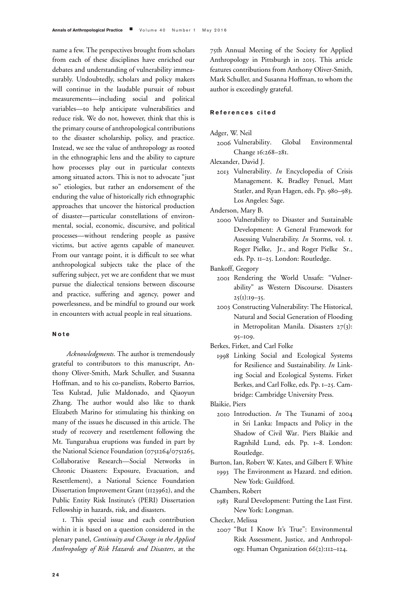name a few. The perspectives brought from scholars from each of these disciplines have enriched our debates and understanding of vulnerability immeasurably. Undoubtedly, scholars and policy makers will continue in the laudable pursuit of robust measurements—including social and political variables—to help anticipate vulnerabilities and reduce risk. We do not, however, think that this is the primary course of anthropological contributions to the disaster scholarship, policy, and practice. Instead, we see the value of anthropology as rooted in the ethnographic lens and the ability to capture how processes play out in particular contexts among situated actors. This is not to advocate "just so" etiologies, but rather an endorsement of the enduring the value of historically rich ethnographic approaches that uncover the historical production of disaster—particular constellations of environmental, social, economic, discursive, and political processes—without rendering people as passive victims, but active agents capable of maneuver. From our vantage point, it is difficult to see what anthropological subjects take the place of the suffering subject, yet we are confident that we must pursue the dialectical tensions between discourse and practice, suffering and agency, power and powerlessness, and be mindful to ground our work in encounters with actual people in real situations.

#### **Note**

*Acknowledgments*. The author is tremendously grateful to contributors to this manuscript, Anthony Oliver-Smith, Mark Schuller, and Susanna Hoffman, and to his co-panelists, Roberto Barrios, Tess Kulstad, Julie Maldonado, and Qiaoyun Zhang. The author would also like to thank Elizabeth Marino for stimulating his thinking on many of the issues he discussed in this article. The study of recovery and resettlement following the Mt. Tungurahua eruptions was funded in part by the National Science Foundation (0751264/0751265, Collaborative Research—Social Networks in Chronic Disasters: Exposure, Evacuation, and Resettlement), a National Science Foundation Dissertation Improvement Grant (1123962), and the Public Entity Risk Institute's (PERI) Dissertation Fellowship in hazards, risk, and disasters.

1. This special issue and each contribution within it is based on a question considered in the plenary panel, *Continuity and Change in the Applied Anthropology of Risk Hazards and Disasters*, at the

75th Annual Meeting of the Society for Applied Anthropology in Pittsburgh in 2015. This article features contributions from Anthony Oliver-Smith, Mark Schuller, and Susanna Hoffman, to whom the author is exceedingly grateful.

### **References cited**

Adger, W. Neil

2006 Vulnerability. Global Environmental Change 16:268–281.

Alexander, David J.

2013 Vulnerability. *In* Encyclopedia of Crisis Management. K. Bradley Penuel, Matt Statler, and Ryan Hagen, eds. Pp. 980–983. Los Angeles: Sage.

Anderson, Mary B.

2000 Vulnerability to Disaster and Sustainable Development: A General Framework for Assessing Vulnerability. *In* Storms, vol. 1. Roger Pielke, Jr., and Roger Pielke Sr., eds. Pp. 11–25. London: Routledge.

Bankoff, Gregory

- 2001 Rendering the World Unsafe: "Vulnerability" as Western Discourse. Disasters  $25(1):19-35.$
- 2003 Constructing Vulnerability: The Historical, Natural and Social Generation of Flooding in Metropolitan Manila. Disasters 27(3): 95–109.

Berkes, Firket, and Carl Folke

1998 Linking Social and Ecological Systems for Resilience and Sustainability. *In* Linking Social and Ecological Systems. Firket Berkes, and Carl Folke, eds. Pp. 1–25. Cambridge: Cambridge University Press.

Blaikie, Piers

- 2010 Introduction. *In* The Tsunami of 2004 in Sri Lanka: Impacts and Policy in the Shadow of Civil War. Piers Blaikie and Ragnhild Lund, eds. Pp. 1–8. London: Routledge.
- Burton, Ian, Robert W. Kates, and Gilbert F. White 1993 The Environment as Hazard. 2nd edition. New York: Guildford.

Chambers, Robert

1983 Rural Development: Putting the Last First. New York: Longman.

Checker, Melissa

2007 "But I Know It's True": Environmental Risk Assessment, Justice, and Anthropology. Human Organization 66(2):112–124.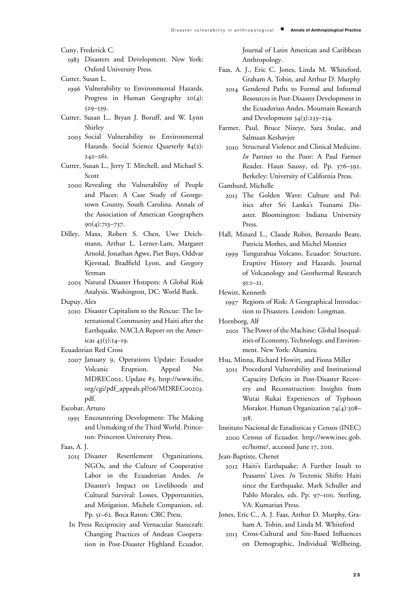Cuny, Frederick C.

- 1983 Disasters and Development. New York: Oxford University Press.
- Cutter, Susan L.
	- 1996 Vulnerability to Environmental Hazards. Progress in Human Geography 20(4): 529–539.
- Cutter, Susan L., Bryan J. Boruff, and W. Lynn Shirley
	- 2003 Social Vulnerability to Environmental Hazards. Social Science Quarterly 84(2): 242–261.
- Cutter, Susan L., Jerry T. Mitchell, and Michael S. Scott
	- 2000 Revealing the Vulnerability of People and Places: A Case Study of Georgetown County, South Carolina. Annals of the Association of American Geographers 90(4):713–737.
- Dilley, Maxx, Robert S. Chen, Uwe Deichmann, Arthur L. Lerner-Lam, Margaret Arnold, Jonathan Agwe, Piet Buys, Oddvar Kjevstad, Bradfield Lyon, and Gregory Yetman
	- 2005 Natural Disaster Hotspots: A Global Risk Analysis. Washington, DC: World Bank.

Dupuy, Alex

2010 Disaster Capitalism to the Rescue: The International Community and Haiti after the Earthquake. NACLA Report on the Americas  $43(5):14-19$ .

Ecuadorian Red Cross

- 2007 January 9, Operations Update: Ecuador Volcanic Eruption. Appeal No. MDREC002, Update #3. http://www.ifrc. org/cgi/pdf\_appeals.pl?o6/MDREC00203. pdf.
- Escobar, Arturo
	- 1995 Encountering Development: The Making and Unmaking of the Third World. Princeton: Princeton University Press.
- Faas, A. J.
	- 2015 Disaster Resettlement Organizations, NGOs, and the Culture of Cooperative Labor in the Ecuadorian Andes. *In* Disaster's Impact on Livelihoods and Cultural Survival: Losses, Opportunities, and Mitigation. Michele Companion, ed. Pp. 51–62. Boca Raton: CRC Press.
	- In Press Reciprocity and Vernacular Statecraft: Changing Practices of Andean Cooperation in Post-Disaster Highland Ecuador.

Journal of Latin American and Caribbean Anthropology.

- Faas, A. J., Eric C. Jones, Linda M. Whiteford, Graham A. Tobin, and Arthur D. Murphy
	- 2014 Gendered Paths to Formal and Informal Resources in Post-Disaster Development in the Ecuadorian Andes. Mountain Research and Development 34(3):233–234.
- Farmer, Paul, Bruce Nizeye, Sara Stulac, and Salmaan Keshavjee
	- 2010 Structural Violence and Clinical Medicine. *In* Partner to the Poor: A Paul Farmer Reader. Haun Saussy, ed. Pp. 376–392. Berkeley: University of California Press.

Gamburd, Michelle

- 2013 The Golden Wave: Culture and Politics after Sri Lanka's Tsunami Disaster. Bloomington: Indiana University Press.
- Hall, Minard L., Claude Robin, Bernardo Beate, Patricia Mothes, and Michel Monzier
	- 1999 Tungurahua Volcano, Ecuador: Structure, Eruptive History and Hazards. Journal of Volcanology and Geothermal Research 91:1–21.

Hewitt, Kenneth

1997 Regions of Risk: A Geographical Introduction to Disasters. London: Longman.

Hornborg, Alf

2001 The Power of the Machine: Global Inequalities of Economy, Technology, and Environment. New York: Altamira.

Hsu, Minna, Richard Howitt, and Fiona Miller

- 2015 Procedural Vulnerability and Institutional Capacity Deficits in Post-Disaster Recovery and Reconstruction: Insights from Wutai Rukai Experiences of Typhoon Morakot. Human Organization 74(4):308-318.
- Instituto Nacional de Estadisticas y Censos (INEC) 2000 Census of Ecuador. http://www.inec.gob. ec/home/, accessed June 17, 2011.
- Jean-Baptiste, Chenet
	- 2012 Haiti's Earthquake: A Further Insult to Peasants' Lives. *In* Tectonic Shifts: Haiti since the Earthquake. Mark Schuller and Pablo Morales, eds. Pp. 97–100. Sterling, VA: Kumarian Press.
- Jones, Eric C., A. J. Faas, Arthur D. Murphy, Graham A. Tobin, and Linda M. Whiteford
	- 2013 Cross-Cultural and Site-Based Influences on Demographic, Individual Wellbeing,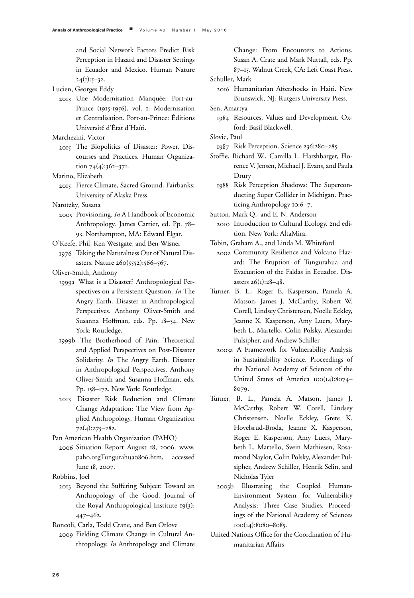and Social Network Factors Predict Risk Perception in Hazard and Disaster Settings in Ecuador and Mexico. Human Nature  $24(1):5-32.$ 

Lucien, Georges Eddy

2013 Une Modernisation Manquée: Port-au-Prince (1915-1956), vol. 1: Modernisation et Centralisation. Port-au-Prince: Editions ´ Université d'État d'Haïti.

Marchezini, Victor

2015 The Biopolitics of Disaster: Power, Discourses and Practices. Human Organization 74(4):362-371.

Marino, Elizabeth

2015 Fierce Climate, Sacred Ground. Fairbanks: University of Alaska Press.

Narotzky, Susana

- 2005 Provisioning. *In* A Handbook of Economic Anthropology. James Carrier, ed. Pp. 78– 93. Northampton, MA: Edward Elgar.
- O'Keefe, Phil, Ken Westgate, and Ben Wisner
	- 1976 Taking the Naturalness Out of Natural Disasters. Nature 260(5552):566–567.

Oliver-Smith, Anthony

- 1999a What is a Disaster? Anthropological Perspectives on a Persistent Question. *In* The Angry Earth. Disaster in Anthropological Perspectives. Anthony Oliver-Smith and Susanna Hoffman, eds. Pp. 18–34. New York: Routledge.
- 1999b The Brotherhood of Pain: Theoretical and Applied Perspectives on Post-Disaster Solidarity. *In* The Angry Earth. Disaster in Anthropological Perspectives. Anthony Oliver-Smith and Susanna Hoffman, eds. Pp. 158–172. New York: Routledge.
- 2013 Disaster Risk Reduction and Climate Change Adaptation: The View from Applied Anthropology. Human Organization 72(4):275–282.

Pan American Health Organization (PAHO)

2006 Situation Report August 18, 2006. www. paho.orgTungurahua0806.htm, accessed June 18, 2007.

Robbins, Joel

2013 Beyond the Suffering Subject: Toward an Anthropology of the Good. Journal of the Royal Anthropological Institute 19(3): 447–462.

Roncoli, Carla, Todd Crane, and Ben Orlove

2009 Fielding Climate Change in Cultural Anthropology. *In* Anthropology and Climate Change: From Encounters to Actions. Susan A. Crate and Mark Nuttall, eds. Pp. 87–15. Walnut Creek, CA: Left Coast Press.

Schuller, Mark

2016 Humanitarian Aftershocks in Haiti. New Brunswick, NJ: Rutgers University Press.

Sen, Amartya

1984 Resources, Values and Development. Oxford: Basil Blackwell.

Slovic, Paul

- 1987 Risk Perception. Science 236:280–285.
- Stoffle, Richard W., Camilla L. Harshbarger, Florence V. Jensen, Michael J. Evans, and Paula Drury
	- 1988 Risk Perception Shadows: The Superconducting Super Collider in Michigan. Practicing Anthropology 10:6–7.

Sutton, Mark Q., and E. N. Anderson

- 2010 Introduction to Cultural Ecology. 2nd edition. New York: AltaMira.
- Tobin, Graham A., and Linda M. Whiteford
	- 2002 Community Resilience and Volcano Hazard: The Eruption of Tungurahua and Evacuation of the Faldas in Ecuador. Disasters 26(1):28–48.
- Turner, B. L., Roger E. Kasperson, Pamela A. Matson, James J. McCarthy, Robert W. Corell, Lindsey Christensen, Noelle Eckley, Jeanne X. Kasperson, Amy Luers, Marybeth L. Martello, Colin Polsky, Alexander Pulsipher, and Andrew Schiller
	- 2003a A Framework for Vulnerability Analysis in Sustainability Science. Proceedings of the National Academy of Sciences of the United States of America 100(14):8074– 8079.
- Turner, B. L., Pamela A. Matson, James J. McCarthy, Robert W. Corell, Lindsey Christensen, Noelle Eckley, Grete K. Hovelsrud-Broda, Jeanne X. Kasperson, Roger E. Kasperson, Amy Luers, Marybeth L. Martello, Svein Mathiesen, Rosamond Naylor, Colin Polsky, Alexander Pulsipher, Andrew Schiller, Henrik Selin, and Nicholas Tyler
	- 2003b Illustrating the Coupled Human-Environment System for Vulnerability Analysis: Three Case Studies. Proceedings of the National Academy of Sciences 100(14):8080–8085.
- United Nations Office for the Coordination of Humanitarian Affairs